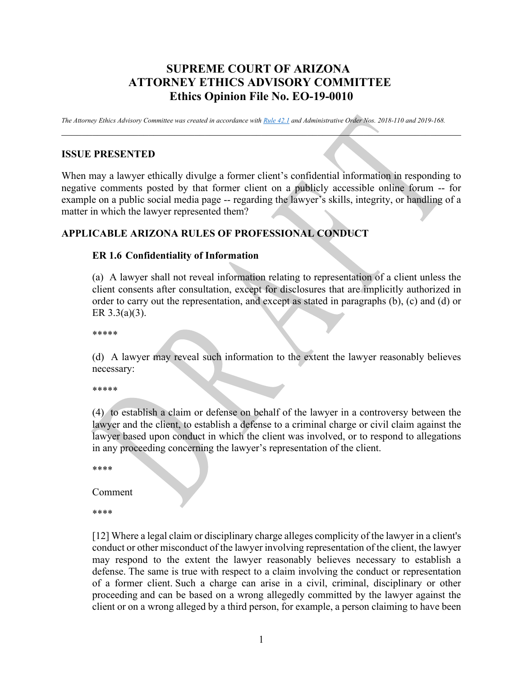# **SUPREME COURT OF ARIZONA ATTORNEY ETHICS ADVISORY COMMITTEE Ethics Opinion File No. EO-19-0010**

*The Attorney Ethics Advisory Committee was created in accordance wit[h Rule 42.1](https://www.azcourts.gov/Portals/26/AEA%20Committee/New%20Rule%2042.1.pdf?ver=2019-01-08-092924-463) and Administrative Order Nos. 2018-110 and 2019-168.*

 $\mathcal{L} = \{ \mathcal{L} \mid \mathcal{L} \in \mathcal{L} \}$  , where  $\mathcal{L} = \{ \mathcal{L} \mid \mathcal{L} \in \mathcal{L} \}$  , where  $\mathcal{L} = \{ \mathcal{L} \mid \mathcal{L} \in \mathcal{L} \}$ 

#### **ISSUE PRESENTED**

When may a lawyer ethically divulge a former client's confidential information in responding to negative comments posted by that former client on a publicly accessible online forum -- for example on a public social media page -- regarding the lawyer's skills, integrity, or handling of a matter in which the lawyer represented them?

#### **APPLICABLE ARIZONA RULES OF PROFESSIONAL CONDUCT**

#### **ER 1.6 Confidentiality of Information**

(a) A lawyer shall not reveal information relating to representation of a client unless the client consents after consultation, except for disclosures that are implicitly authorized in order to carry out the representation, and except as stated in paragraphs (b), (c) and (d) or ER 3.3(a)(3).

\*\*\*\*\*

(d) A lawyer may reveal such information to the extent the lawyer reasonably believes necessary:

\*\*\*\*\*

(4) to establish a claim or defense on behalf of the lawyer in a controversy between the lawyer and the client, to establish a defense to a criminal charge or civil claim against the lawyer based upon conduct in which the client was involved, or to respond to allegations in any proceeding concerning the lawyer's representation of the client.

\*\*\*\*

Comment

\*\*\*\*

[12] Where a legal claim or disciplinary charge alleges complicity of the lawyer in a client's conduct or other misconduct of the lawyer involving representation of the client, the lawyer may respond to the extent the lawyer reasonably believes necessary to establish a defense. The same is true with respect to a claim involving the conduct or representation of a former client. Such a charge can arise in a civil, criminal, disciplinary or other proceeding and can be based on a wrong allegedly committed by the lawyer against the client or on a wrong alleged by a third person, for example, a person claiming to have been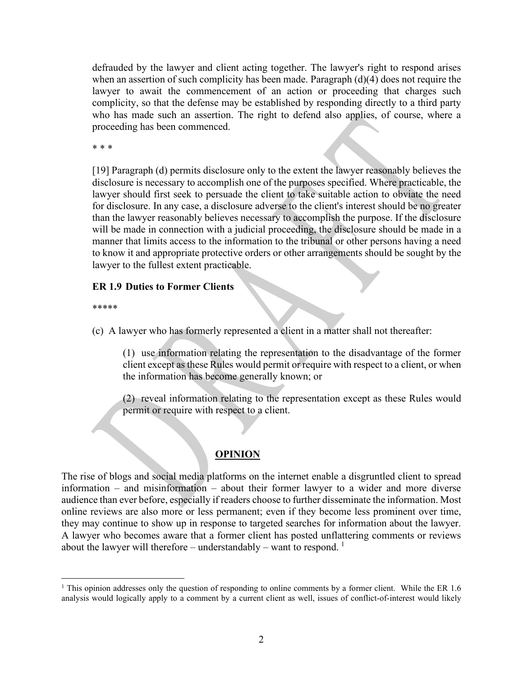defrauded by the lawyer and client acting together. The lawyer's right to respond arises when an assertion of such complicity has been made. Paragraph (d)(4) does not require the lawyer to await the commencement of an action or proceeding that charges such complicity, so that the defense may be established by responding directly to a third party who has made such an assertion. The right to defend also applies, of course, where a proceeding has been commenced.

\* \* \*

[19] Paragraph (d) permits disclosure only to the extent the lawyer reasonably believes the disclosure is necessary to accomplish one of the purposes specified. Where practicable, the lawyer should first seek to persuade the client to take suitable action to obviate the need for disclosure. In any case, a disclosure adverse to the client's interest should be no greater than the lawyer reasonably believes necessary to accomplish the purpose. If the disclosure will be made in connection with a judicial proceeding, the disclosure should be made in a manner that limits access to the information to the tribunal or other persons having a need to know it and appropriate protective orders or other arrangements should be sought by the lawyer to the fullest extent practicable.

#### **ER 1.9 Duties to Former Clients**

\*\*\*\*\*

(c) A lawyer who has formerly represented a client in a matter shall not thereafter:

(1) use information relating the representation to the disadvantage of the former client except as these Rules would permit or require with respect to a client, or when the information has become generally known; or

(2) reveal information relating to the representation except as these Rules would permit or require with respect to a client.

## **OPINION**

The rise of blogs and social media platforms on the internet enable a disgruntled client to spread information – and misinformation – about their former lawyer to a wider and more diverse audience than ever before, especially if readers choose to further disseminate the information. Most online reviews are also more or less permanent; even if they become less prominent over time, they may continue to show up in response to targeted searches for information about the lawyer. A lawyer who becomes aware that a former client has posted unflattering comments or reviews about the lawyer will therefore – understandably – want to respond.  $<sup>1</sup>$  $<sup>1</sup>$  $<sup>1</sup>$ </sup>

<span id="page-1-0"></span><sup>&</sup>lt;sup>1</sup> This opinion addresses only the question of responding to online comments by a former client. While the ER 1.6 analysis would logically apply to a comment by a current client as well, issues of conflict-of-interest would likely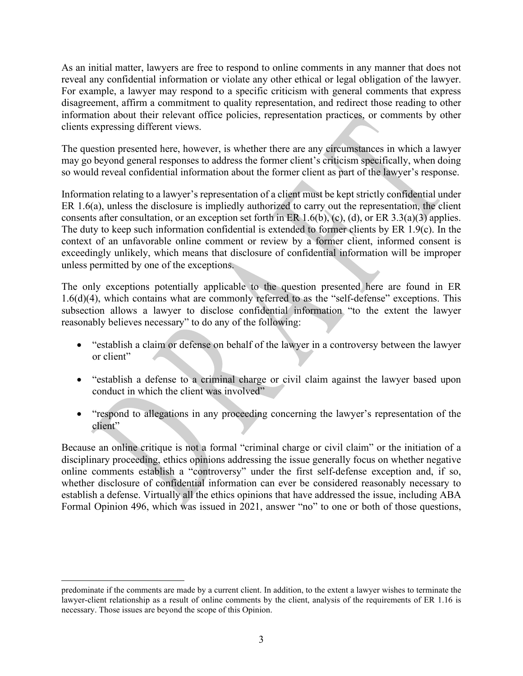As an initial matter, lawyers are free to respond to online comments in any manner that does not reveal any confidential information or violate any other ethical or legal obligation of the lawyer. For example, a lawyer may respond to a specific criticism with general comments that express disagreement, affirm a commitment to quality representation, and redirect those reading to other information about their relevant office policies, representation practices, or comments by other clients expressing different views.

The question presented here, however, is whether there are any circumstances in which a lawyer may go beyond general responses to address the former client's criticism specifically, when doing so would reveal confidential information about the former client as part of the lawyer's response.

Information relating to a lawyer's representation of a client must be kept strictly confidential under ER 1.6(a), unless the disclosure is impliedly authorized to carry out the representation, the client consents after consultation, or an exception set forth in ER 1.6(b), (c), (d), or ER 3.3(a)(3) applies. The duty to keep such information confidential is extended to former clients by ER 1.9(c). In the context of an unfavorable online comment or review by a former client, informed consent is exceedingly unlikely, which means that disclosure of confidential information will be improper unless permitted by one of the exceptions.

The only exceptions potentially applicable to the question presented here are found in ER 1.6(d)(4), which contains what are commonly referred to as the "self-defense" exceptions. This subsection allows a lawyer to disclose confidential information "to the extent the lawyer reasonably believes necessary" to do any of the following:

- "establish a claim or defense on behalf of the lawyer in a controversy between the lawyer or client"
- "establish a defense to a criminal charge or civil claim against the lawyer based upon conduct in which the client was involved"
- "respond to allegations in any proceeding concerning the lawyer's representation of the client"

Because an online critique is not a formal "criminal charge or civil claim" or the initiation of a disciplinary proceeding, ethics opinions addressing the issue generally focus on whether negative online comments establish a "controversy" under the first self-defense exception and, if so, whether disclosure of confidential information can ever be considered reasonably necessary to establish a defense. Virtually all the ethics opinions that have addressed the issue, including ABA Formal Opinion 496, which was issued in 2021, answer "no" to one or both of those questions,

predominate if the comments are made by a current client. In addition, to the extent a lawyer wishes to terminate the lawyer-client relationship as a result of online comments by the client, analysis of the requirements of ER 1.16 is necessary. Those issues are beyond the scope of this Opinion.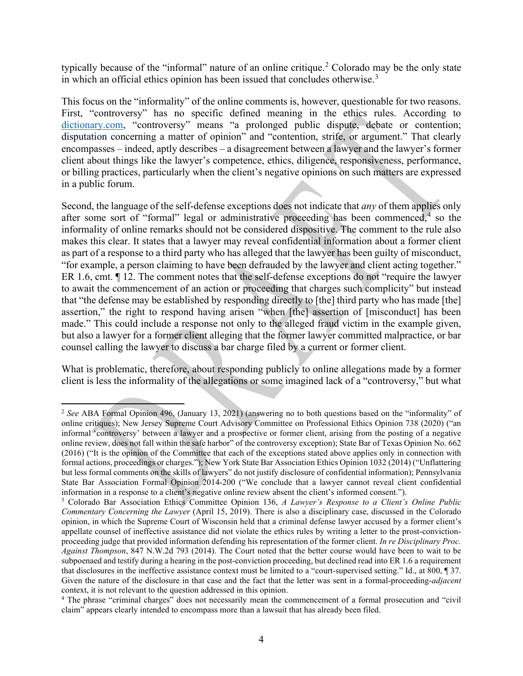typically because of the "informal" nature of an online critique. [2](#page-3-0) Colorado may be the only state in which an official ethics opinion has been issued that concludes otherwise.<sup>[3](#page-3-1)</sup>

This focus on the "informality" of the online comments is, however, questionable for two reasons. First, "controversy" has no specific defined meaning in the ethics rules. According to [dictionary.com,](https://www.dictionary.com/browse/controversy) "controversy" means "a prolonged public dispute, debate or contention; disputation concerning a matter of opinion" and "contention, strife, or argument." That clearly encompasses – indeed, aptly describes – a disagreement between a lawyer and the lawyer's former client about things like the lawyer's competence, ethics, diligence, responsiveness, performance, or billing practices, particularly when the client's negative opinions on such matters are expressed in a public forum.

Second, the language of the self-defense exceptions does not indicate that *any* of them applies only after some sort of "formal" legal or administrative proceeding has been commenced,  $4\overline{)}$  $4\overline{)}$  so the informality of online remarks should not be considered dispositive. The comment to the rule also makes this clear. It states that a lawyer may reveal confidential information about a former client as part of a response to a third party who has alleged that the lawyer has been guilty of misconduct, "for example, a person claiming to have been defrauded by the lawyer and client acting together." ER 1.6, cmt. ¶ 12. The comment notes that the self-defense exceptions do not "require the lawyer to await the commencement of an action or proceeding that charges such complicity" but instead that "the defense may be established by responding directly to [the] third party who has made [the] assertion," the right to respond having arisen "when [the] assertion of [misconduct] has been made." This could include a response not only to the alleged fraud victim in the example given, but also a lawyer for a former client alleging that the former lawyer committed malpractice, or bar counsel calling the lawyer to discuss a bar charge filed by a current or former client.

What is problematic, therefore, about responding publicly to online allegations made by a former client is less the informality of the allegations or some imagined lack of a "controversy," but what

<span id="page-3-0"></span><sup>&</sup>lt;sup>2</sup> See ABA Formal Opinion 496, (January 13, 2021) (answering no to both questions based on the "informality" of online critiques); New Jersey Supreme Court Advisory Committee on Professional Ethics Opinion 738 (2020) ("an informal 'controversy' between a lawyer and a prospective or former client, arising from the posting of a negative online review, does not fall within the safe harbor" of the controversy exception); State Bar of Texas Opinion No. 662 (2016) ("It is the opinion of the Committee that each of the exceptions stated above applies only in connection with formal actions, proceedings or charges."); New York State Bar Association Ethics Opinion 1032 (2014) ("Unflattering but less formal comments on the skills of lawyers" do not justify disclosure of confidential information); Pennsylvania State Bar Association Formal Opinion 2014-200 ("We conclude that a lawyer cannot reveal client confidential information in a response to a client's negative online review absent the client's informed consent.").

<span id="page-3-1"></span><sup>3</sup> Colorado Bar Association Ethics Committee Opinion 136, *A Lawyer's Response to a Client's Online Public Commentary Concerning the Lawyer* (April 15, 2019). There is also a disciplinary case, discussed in the Colorado opinion, in which the Supreme Court of Wisconsin held that a criminal defense lawyer accused by a former client's appellate counsel of ineffective assistance did not violate the ethics rules by writing a letter to the prost-convictionproceeding judge that provided information defending his representation of the former client. *In re Disciplinary Proc. Against Thompson*, 847 N.W.2d 793 (2014). The Court noted that the better course would have been to wait to be subpoenaed and testify during a hearing in the post-conviction proceeding, but declined read into ER 1.6 a requirement that disclosures in the ineffective assistance context must be limited to a "court-supervised setting." Id., at 800, ¶ 37. Given the nature of the disclosure in that case and the fact that the letter was sent in a formal-proceeding-*adjacent* context, it is not relevant to the question addressed in this opinion.

<span id="page-3-2"></span><sup>&</sup>lt;sup>4</sup> The phrase "criminal charges" does not necessarily mean the commencement of a formal prosecution and "civil claim" appears clearly intended to encompass more than a lawsuit that has already been filed.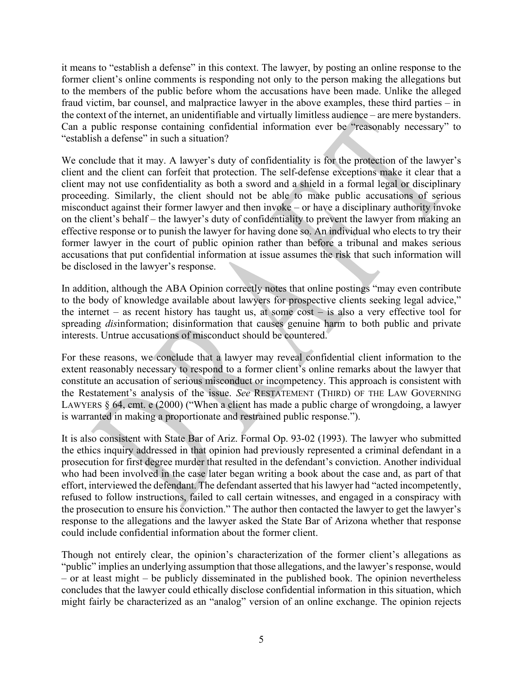it means to "establish a defense" in this context. The lawyer, by posting an online response to the former client's online comments is responding not only to the person making the allegations but to the members of the public before whom the accusations have been made. Unlike the alleged fraud victim, bar counsel, and malpractice lawyer in the above examples, these third parties – in the context of the internet, an unidentifiable and virtually limitless audience – are mere bystanders. Can a public response containing confidential information ever be "reasonably necessary" to "establish a defense" in such a situation?

We conclude that it may. A lawyer's duty of confidentiality is for the protection of the lawyer's client and the client can forfeit that protection. The self-defense exceptions make it clear that a client may not use confidentiality as both a sword and a shield in a formal legal or disciplinary proceeding. Similarly, the client should not be able to make public accusations of serious misconduct against their former lawyer and then invoke – or have a disciplinary authority invoke on the client's behalf – the lawyer's duty of confidentiality to prevent the lawyer from making an effective response or to punish the lawyer for having done so. An individual who elects to try their former lawyer in the court of public opinion rather than before a tribunal and makes serious accusations that put confidential information at issue assumes the risk that such information will be disclosed in the lawyer's response.

In addition, although the ABA Opinion correctly notes that online postings "may even contribute to the body of knowledge available about lawyers for prospective clients seeking legal advice," the internet – as recent history has taught us, at some cost – is also a very effective tool for spreading *dis*information; disinformation that causes genuine harm to both public and private interests. Untrue accusations of misconduct should be countered.

For these reasons, we conclude that a lawyer may reveal confidential client information to the extent reasonably necessary to respond to a former client's online remarks about the lawyer that constitute an accusation of serious misconduct or incompetency. This approach is consistent with the Restatement's analysis of the issue. *See* RESTATEMENT (THIRD) OF THE LAW GOVERNING LAWYERS § 64, cmt. e (2000) ("When a client has made a public charge of wrongdoing, a lawyer is warranted in making a proportionate and restrained public response.").

It is also consistent with State Bar of Ariz. Formal Op. 93-02 (1993). The lawyer who submitted the ethics inquiry addressed in that opinion had previously represented a criminal defendant in a prosecution for first degree murder that resulted in the defendant's conviction. Another individual who had been involved in the case later began writing a book about the case and, as part of that effort, interviewed the defendant. The defendant asserted that his lawyer had "acted incompetently, refused to follow instructions, failed to call certain witnesses, and engaged in a conspiracy with the prosecution to ensure his conviction." The author then contacted the lawyer to get the lawyer's response to the allegations and the lawyer asked the State Bar of Arizona whether that response could include confidential information about the former client.

Though not entirely clear, the opinion's characterization of the former client's allegations as "public" implies an underlying assumption that those allegations, and the lawyer's response, would – or at least might – be publicly disseminated in the published book. The opinion nevertheless concludes that the lawyer could ethically disclose confidential information in this situation, which might fairly be characterized as an "analog" version of an online exchange. The opinion rejects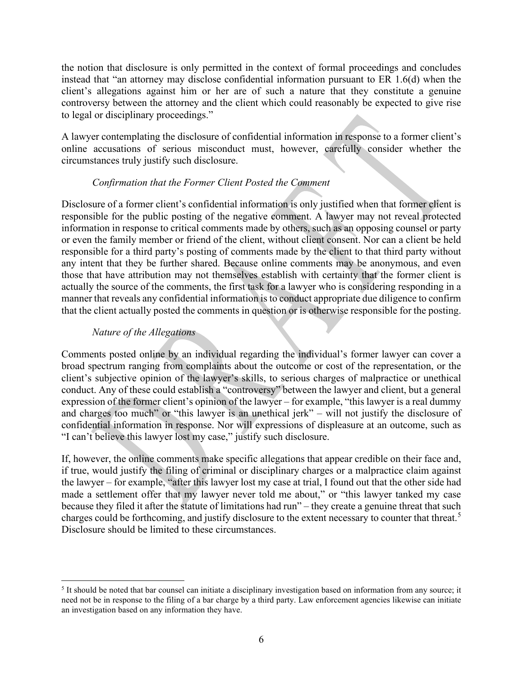the notion that disclosure is only permitted in the context of formal proceedings and concludes instead that "an attorney may disclose confidential information pursuant to ER 1.6(d) when the client's allegations against him or her are of such a nature that they constitute a genuine controversy between the attorney and the client which could reasonably be expected to give rise to legal or disciplinary proceedings."

A lawyer contemplating the disclosure of confidential information in response to a former client's online accusations of serious misconduct must, however, carefully consider whether the circumstances truly justify such disclosure.

## *Confirmation that the Former Client Posted the Comment*

Disclosure of a former client's confidential information is only justified when that former client is responsible for the public posting of the negative comment. A lawyer may not reveal protected information in response to critical comments made by others, such as an opposing counsel or party or even the family member or friend of the client, without client consent. Nor can a client be held responsible for a third party's posting of comments made by the client to that third party without any intent that they be further shared. Because online comments may be anonymous, and even those that have attribution may not themselves establish with certainty that the former client is actually the source of the comments, the first task for a lawyer who is considering responding in a manner that reveals any confidential information is to conduct appropriate due diligence to confirm that the client actually posted the comments in question or is otherwise responsible for the posting.

## *Nature of the Allegations*

Comments posted online by an individual regarding the individual's former lawyer can cover a broad spectrum ranging from complaints about the outcome or cost of the representation, or the client's subjective opinion of the lawyer's skills, to serious charges of malpractice or unethical conduct. Any of these could establish a "controversy" between the lawyer and client, but a general expression of the former client's opinion of the lawyer – for example, "this lawyer is a real dummy and charges too much" or "this lawyer is an unethical jerk" – will not justify the disclosure of confidential information in response. Nor will expressions of displeasure at an outcome, such as "I can't believe this lawyer lost my case," justify such disclosure.

If, however, the online comments make specific allegations that appear credible on their face and, if true, would justify the filing of criminal or disciplinary charges or a malpractice claim against the lawyer – for example, "after this lawyer lost my case at trial, I found out that the other side had made a settlement offer that my lawyer never told me about," or "this lawyer tanked my case because they filed it after the statute of limitations had run" – they create a genuine threat that such charges could be forthcoming, and justify disclosure to the extent necessary to counter that threat.<sup>[5](#page-5-0)</sup> Disclosure should be limited to these circumstances.

<span id="page-5-0"></span><sup>5</sup> It should be noted that bar counsel can initiate a disciplinary investigation based on information from any source; it need not be in response to the filing of a bar charge by a third party. Law enforcement agencies likewise can initiate an investigation based on any information they have.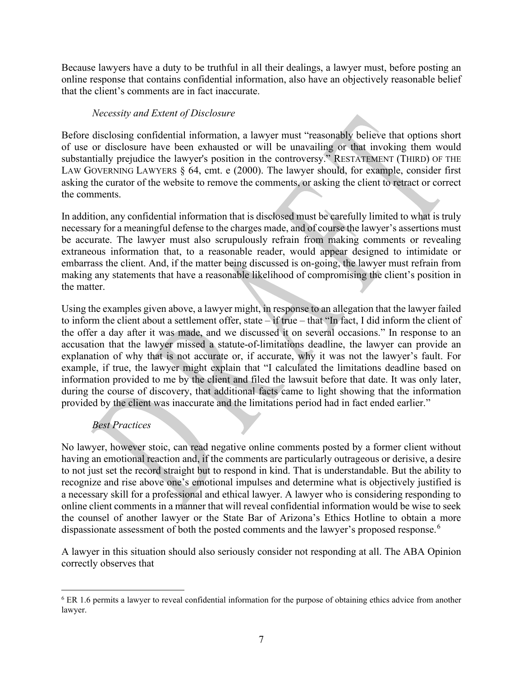Because lawyers have a duty to be truthful in all their dealings, a lawyer must, before posting an online response that contains confidential information, also have an objectively reasonable belief that the client's comments are in fact inaccurate.

## *Necessity and Extent of Disclosure*

Before disclosing confidential information, a lawyer must "reasonably believe that options short of use or disclosure have been exhausted or will be unavailing or that invoking them would substantially prejudice the lawyer's position in the controversy." RESTATEMENT (THIRD) OF THE LAW GOVERNING LAWYERS § 64, cmt. e (2000). The lawyer should, for example, consider first asking the curator of the website to remove the comments, or asking the client to retract or correct the comments.

In addition, any confidential information that is disclosed must be carefully limited to what is truly necessary for a meaningful defense to the charges made, and of course the lawyer's assertions must be accurate. The lawyer must also scrupulously refrain from making comments or revealing extraneous information that, to a reasonable reader, would appear designed to intimidate or embarrass the client. And, if the matter being discussed is on-going, the lawyer must refrain from making any statements that have a reasonable likelihood of compromising the client's position in the matter.

Using the examples given above, a lawyer might, in response to an allegation that the lawyer failed to inform the client about a settlement offer, state – if true – that "In fact, I did inform the client of the offer a day after it was made, and we discussed it on several occasions." In response to an accusation that the lawyer missed a statute-of-limitations deadline, the lawyer can provide an explanation of why that is not accurate or, if accurate, why it was not the lawyer's fault. For example, if true, the lawyer might explain that "I calculated the limitations deadline based on information provided to me by the client and filed the lawsuit before that date. It was only later, during the course of discovery, that additional facts came to light showing that the information provided by the client was inaccurate and the limitations period had in fact ended earlier."

## *Best Practices*

No lawyer, however stoic, can read negative online comments posted by a former client without having an emotional reaction and, if the comments are particularly outrageous or derisive, a desire to not just set the record straight but to respond in kind. That is understandable. But the ability to recognize and rise above one's emotional impulses and determine what is objectively justified is a necessary skill for a professional and ethical lawyer. A lawyer who is considering responding to online client comments in a manner that will reveal confidential information would be wise to seek the counsel of another lawyer or the State Bar of Arizona's Ethics Hotline to obtain a more dispassionate assessment of both the posted comments and the lawyer's proposed response.<sup>[6](#page-6-0)</sup>

A lawyer in this situation should also seriously consider not responding at all. The ABA Opinion correctly observes that

<span id="page-6-0"></span><sup>6</sup> ER 1.6 permits a lawyer to reveal confidential information for the purpose of obtaining ethics advice from another lawyer.